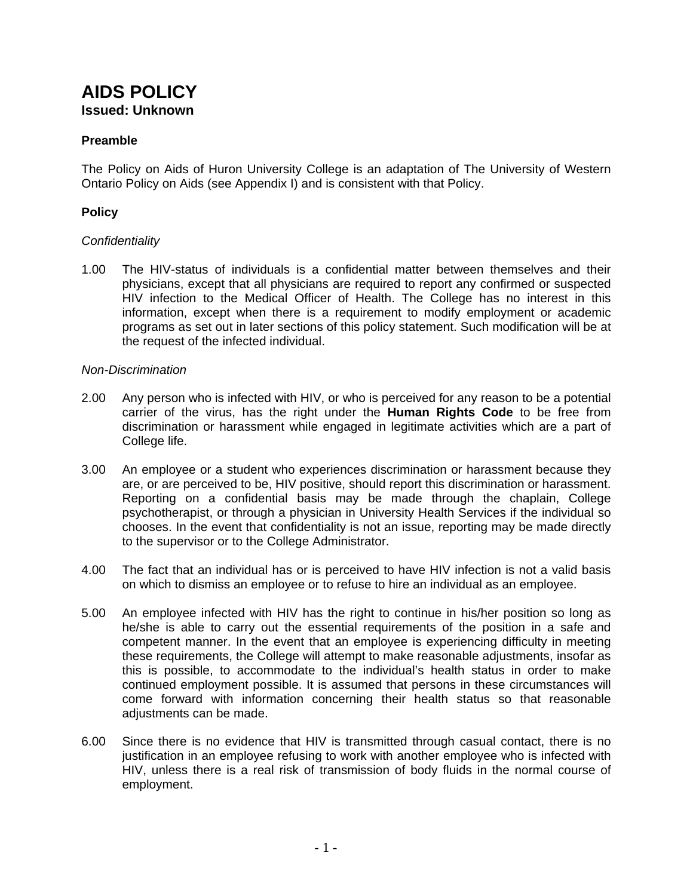# **AIDS POLICY Issued: Unknown**

# **Preamble**

The Policy on Aids of Huron University College is an adaptation of The University of Western Ontario Policy on Aids (see Appendix I) and is consistent with that Policy.

# **Policy**

# *Confidentiality*

1.00 The HIV-status of individuals is a confidential matter between themselves and their physicians, except that all physicians are required to report any confirmed or suspected HIV infection to the Medical Officer of Health. The College has no interest in this information, except when there is a requirement to modify employment or academic programs as set out in later sections of this policy statement. Such modification will be at the request of the infected individual.

# *Non-Discrimination*

- 2.00 Any person who is infected with HIV, or who is perceived for any reason to be a potential carrier of the virus, has the right under the **Human Rights Code** to be free from discrimination or harassment while engaged in legitimate activities which are a part of College life.
- 3.00 An employee or a student who experiences discrimination or harassment because they are, or are perceived to be, HIV positive, should report this discrimination or harassment. Reporting on a confidential basis may be made through the chaplain, College psychotherapist, or through a physician in University Health Services if the individual so chooses. In the event that confidentiality is not an issue, reporting may be made directly to the supervisor or to the College Administrator.
- 4.00 The fact that an individual has or is perceived to have HIV infection is not a valid basis on which to dismiss an employee or to refuse to hire an individual as an employee.
- 5.00 An employee infected with HIV has the right to continue in his/her position so long as he/she is able to carry out the essential requirements of the position in a safe and competent manner. In the event that an employee is experiencing difficulty in meeting these requirements, the College will attempt to make reasonable adjustments, insofar as this is possible, to accommodate to the individual's health status in order to make continued employment possible. It is assumed that persons in these circumstances will come forward with information concerning their health status so that reasonable adjustments can be made.
- 6.00 Since there is no evidence that HIV is transmitted through casual contact, there is no justification in an employee refusing to work with another employee who is infected with HIV, unless there is a real risk of transmission of body fluids in the normal course of employment.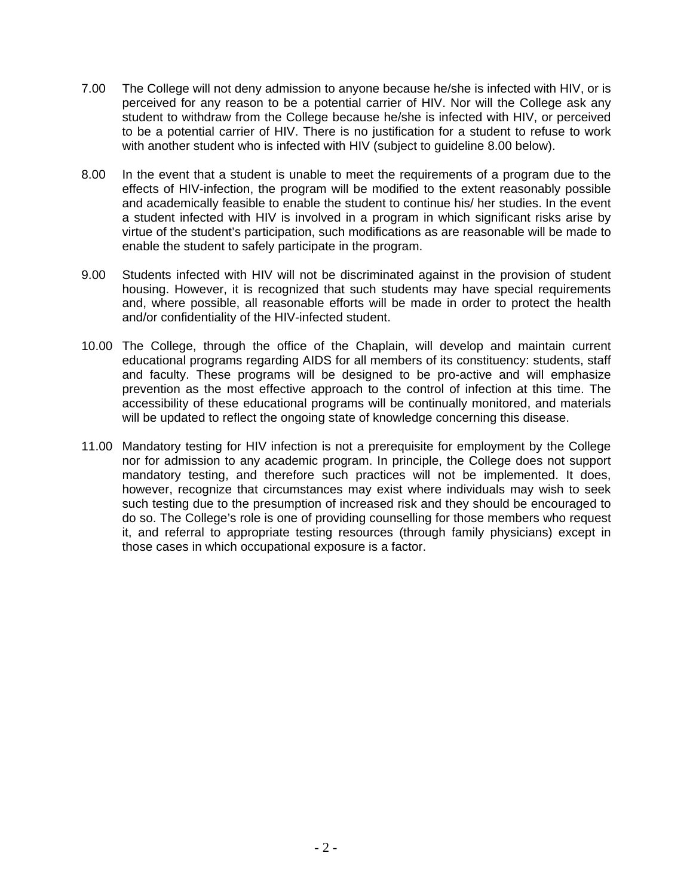- 7.00 The College will not deny admission to anyone because he/she is infected with HIV, or is perceived for any reason to be a potential carrier of HIV. Nor will the College ask any student to withdraw from the College because he/she is infected with HIV, or perceived to be a potential carrier of HIV. There is no justification for a student to refuse to work with another student who is infected with HIV (subject to guideline 8.00 below).
- 8.00 In the event that a student is unable to meet the requirements of a program due to the effects of HIV-infection, the program will be modified to the extent reasonably possible and academically feasible to enable the student to continue his/ her studies. In the event a student infected with HIV is involved in a program in which significant risks arise by virtue of the student's participation, such modifications as are reasonable will be made to enable the student to safely participate in the program.
- 9.00 Students infected with HIV will not be discriminated against in the provision of student housing. However, it is recognized that such students may have special requirements and, where possible, all reasonable efforts will be made in order to protect the health and/or confidentiality of the HIV-infected student.
- 10.00 The College, through the office of the Chaplain, will develop and maintain current educational programs regarding AIDS for all members of its constituency: students, staff and faculty. These programs will be designed to be pro-active and will emphasize prevention as the most effective approach to the control of infection at this time. The accessibility of these educational programs will be continually monitored, and materials will be updated to reflect the ongoing state of knowledge concerning this disease.
- 11.00 Mandatory testing for HIV infection is not a prerequisite for employment by the College nor for admission to any academic program. In principle, the College does not support mandatory testing, and therefore such practices will not be implemented. It does, however, recognize that circumstances may exist where individuals may wish to seek such testing due to the presumption of increased risk and they should be encouraged to do so. The College's role is one of providing counselling for those members who request it, and referral to appropriate testing resources (through family physicians) except in those cases in which occupational exposure is a factor.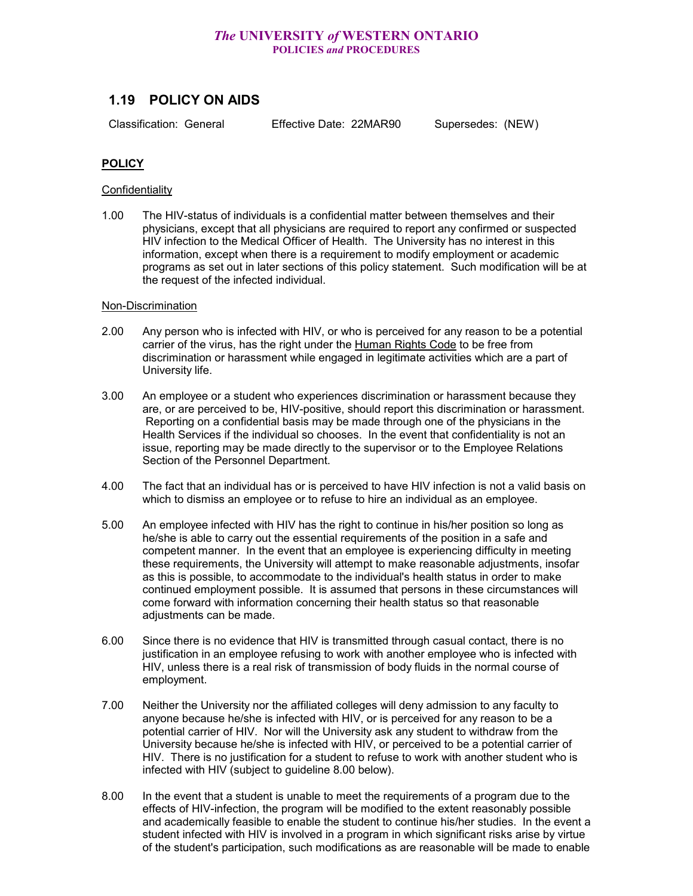# *The* **UNIVERSITY** *of* **WESTERN ONTARIO POLICIES** *and* **PROCEDURES**

# **1.19 POLICY ON AIDS**

Classification: General Effective Date: 22MAR90 Supersedes: (NEW)

## **POLICY**

#### **Confidentiality**

1.00 The HIV-status of individuals is a confidential matter between themselves and their physicians, except that all physicians are required to report any confirmed or suspected HIV infection to the Medical Officer of Health. The University has no interest in this information, except when there is a requirement to modify employment or academic programs as set out in later sections of this policy statement. Such modification will be at the request of the infected individual.

#### Non-Discrimination

- 2.00 Any person who is infected with HIV, or who is perceived for any reason to be a potential carrier of the virus, has the right under the Human Rights Code to be free from discrimination or harassment while engaged in legitimate activities which are a part of University life.
- 3.00 An employee or a student who experiences discrimination or harassment because they are, or are perceived to be, HIV-positive, should report this discrimination or harassment. Reporting on a confidential basis may be made through one of the physicians in the Health Services if the individual so chooses. In the event that confidentiality is not an issue, reporting may be made directly to the supervisor or to the Employee Relations Section of the Personnel Department.
- 4.00 The fact that an individual has or is perceived to have HIV infection is not a valid basis on which to dismiss an employee or to refuse to hire an individual as an employee.
- 5.00 An employee infected with HIV has the right to continue in his/her position so long as he/she is able to carry out the essential requirements of the position in a safe and competent manner. In the event that an employee is experiencing difficulty in meeting these requirements, the University will attempt to make reasonable adjustments, insofar as this is possible, to accommodate to the individual's health status in order to make continued employment possible. It is assumed that persons in these circumstances will come forward with information concerning their health status so that reasonable adjustments can be made.
- 6.00 Since there is no evidence that HIV is transmitted through casual contact, there is no justification in an employee refusing to work with another employee who is infected with HIV, unless there is a real risk of transmission of body fluids in the normal course of employment.
- 7.00 Neither the University nor the affiliated colleges will deny admission to any faculty to anyone because he/she is infected with HIV, or is perceived for any reason to be a potential carrier of HIV. Nor will the University ask any student to withdraw from the University because he/she is infected with HIV, or perceived to be a potential carrier of HIV. There is no justification for a student to refuse to work with another student who is infected with HIV (subject to guideline 8.00 below).
- 8.00 In the event that a student is unable to meet the requirements of a program due to the effects of HIV-infection, the program will be modified to the extent reasonably possible and academically feasible to enable the student to continue his/her studies. In the event a student infected with HIV is involved in a program in which significant risks arise by virtue of the student's participation, such modifications as are reasonable will be made to enable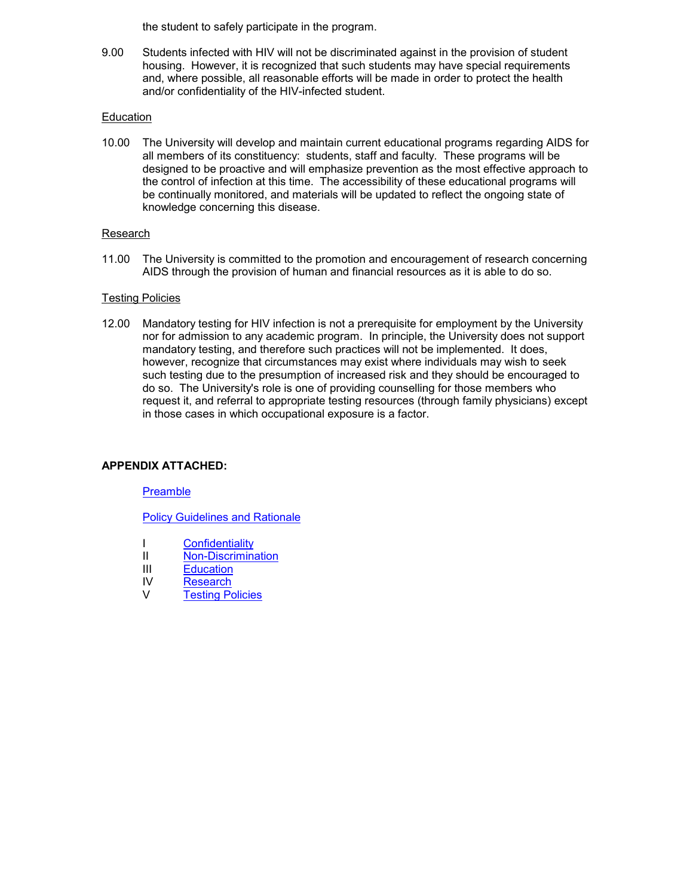the student to safely participate in the program.

9.00 Students infected with HIV will not be discriminated against in the provision of student housing. However, it is recognized that such students may have special requirements and, where possible, all reasonable efforts will be made in order to protect the health and/or confidentiality of the HIV-infected student.

#### Education

10.00 The University will develop and maintain current educational programs regarding AIDS for all members of its constituency: students, staff and faculty. These programs will be designed to be proactive and will emphasize prevention as the most effective approach to the control of infection at this time. The accessibility of these educational programs will be continually monitored, and materials will be updated to reflect the ongoing state of knowledge concerning this disease.

#### Research

11.00 The University is committed to the promotion and encouragement of research concerning AIDS through the provision of human and financial resources as it is able to do so.

#### Testing Policies

12.00 Mandatory testing for HIV infection is not a prerequisite for employment by the University nor for admission to any academic program. In principle, the University does not support mandatory testing, and therefore such practices will not be implemented. It does, however, recognize that circumstances may exist where individuals may wish to seek such testing due to the presumption of increased risk and they should be encouraged to do so. The University's role is one of providing counselling for those members who request it, and referral to appropriate testing resources (through family physicians) except in those cases in which occupational exposure is a factor.

#### **APPENDIX ATTACHED:**

#### **[Preamble](#page-4-0)**

[Policy Guidelines and Rationale](#page-5-0)

- I [Confidentiality](#page-5-1)
- II [Non-Discrimination](#page-5-2)
- III [Education](#page-7-0)
- IV [Research](#page-7-1)
- V [Testing Policies](#page-8-0)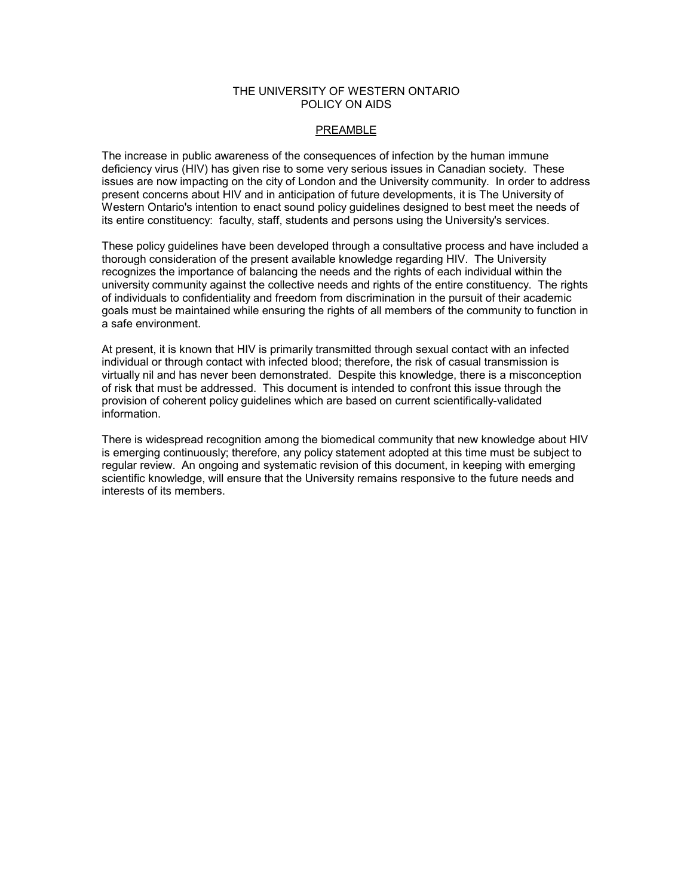#### THE UNIVERSITY OF WESTERN ONTARIO POLICY ON AIDS

### <span id="page-4-0"></span>PREAMBLE

The increase in public awareness of the consequences of infection by the human immune deficiency virus (HIV) has given rise to some very serious issues in Canadian society. These issues are now impacting on the city of London and the University community. In order to address present concerns about HIV and in anticipation of future developments, it is The University of Western Ontario's intention to enact sound policy guidelines designed to best meet the needs of its entire constituency: faculty, staff, students and persons using the University's services.

These policy guidelines have been developed through a consultative process and have included a thorough consideration of the present available knowledge regarding HIV. The University recognizes the importance of balancing the needs and the rights of each individual within the university community against the collective needs and rights of the entire constituency. The rights of individuals to confidentiality and freedom from discrimination in the pursuit of their academic goals must be maintained while ensuring the rights of all members of the community to function in a safe environment.

At present, it is known that HIV is primarily transmitted through sexual contact with an infected individual or through contact with infected blood; therefore, the risk of casual transmission is virtually nil and has never been demonstrated. Despite this knowledge, there is a misconception of risk that must be addressed. This document is intended to confront this issue through the provision of coherent policy guidelines which are based on current scientifically-validated information.

There is widespread recognition among the biomedical community that new knowledge about HIV is emerging continuously; therefore, any policy statement adopted at this time must be subject to regular review. An ongoing and systematic revision of this document, in keeping with emerging scientific knowledge, will ensure that the University remains responsive to the future needs and interests of its members.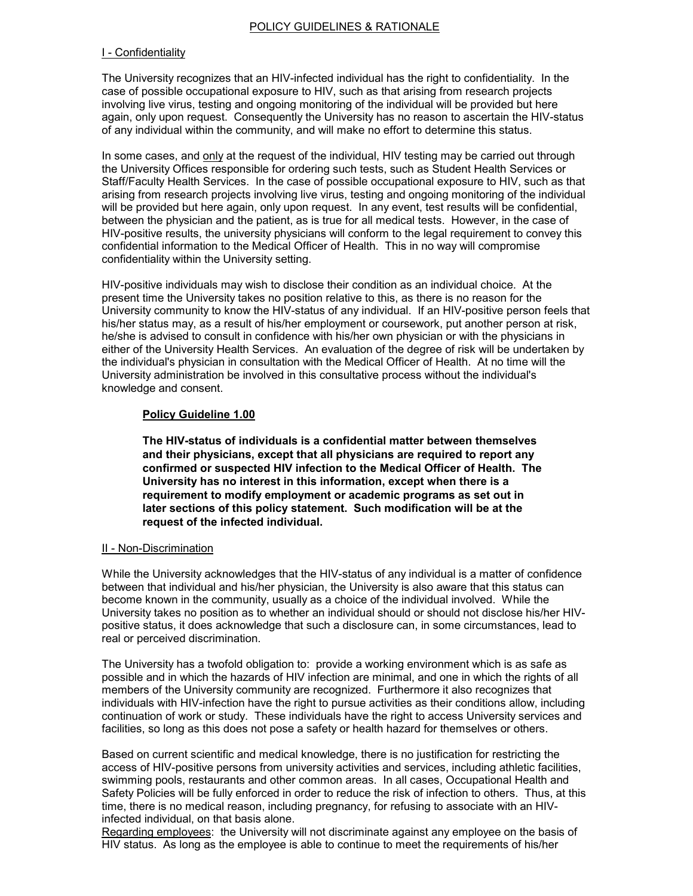#### <span id="page-5-0"></span>POLICY GUIDELINES & RATIONALE

#### <span id="page-5-1"></span>I - Confidentiality

The University recognizes that an HIV-infected individual has the right to confidentiality. In the case of possible occupational exposure to HIV, such as that arising from research projects involving live virus, testing and ongoing monitoring of the individual will be provided but here again, only upon request. Consequently the University has no reason to ascertain the HIV-status of any individual within the community, and will make no effort to determine this status.

In some cases, and only at the request of the individual, HIV testing may be carried out through the University Offices responsible for ordering such tests, such as Student Health Services or Staff/Faculty Health Services. In the case of possible occupational exposure to HIV, such as that arising from research projects involving live virus, testing and ongoing monitoring of the individual will be provided but here again, only upon request. In any event, test results will be confidential, between the physician and the patient, as is true for all medical tests. However, in the case of HIV-positive results, the university physicians will conform to the legal requirement to convey this confidential information to the Medical Officer of Health. This in no way will compromise confidentiality within the University setting.

HIV-positive individuals may wish to disclose their condition as an individual choice. At the present time the University takes no position relative to this, as there is no reason for the University community to know the HIV-status of any individual. If an HIV-positive person feels that his/her status may, as a result of his/her employment or coursework, put another person at risk, he/she is advised to consult in confidence with his/her own physician or with the physicians in either of the University Health Services. An evaluation of the degree of risk will be undertaken by the individual's physician in consultation with the Medical Officer of Health. At no time will the University administration be involved in this consultative process without the individual's knowledge and consent.

#### **Policy Guideline 1.00**

**The HIV-status of individuals is a confidential matter between themselves and their physicians, except that all physicians are required to report any confirmed or suspected HIV infection to the Medical Officer of Health. The University has no interest in this information, except when there is a requirement to modify employment or academic programs as set out in later sections of this policy statement. Such modification will be at the request of the infected individual.**

#### <span id="page-5-2"></span>II - Non-Discrimination

While the University acknowledges that the HIV-status of any individual is a matter of confidence between that individual and his/her physician, the University is also aware that this status can become known in the community, usually as a choice of the individual involved. While the University takes no position as to whether an individual should or should not disclose his/her HIVpositive status, it does acknowledge that such a disclosure can, in some circumstances, lead to real or perceived discrimination.

The University has a twofold obligation to: provide a working environment which is as safe as possible and in which the hazards of HIV infection are minimal, and one in which the rights of all members of the University community are recognized. Furthermore it also recognizes that individuals with HIV-infection have the right to pursue activities as their conditions allow, including continuation of work or study. These individuals have the right to access University services and facilities, so long as this does not pose a safety or health hazard for themselves or others.

Based on current scientific and medical knowledge, there is no justification for restricting the access of HIV-positive persons from university activities and services, including athletic facilities, swimming pools, restaurants and other common areas. In all cases, Occupational Health and Safety Policies will be fully enforced in order to reduce the risk of infection to others. Thus, at this time, there is no medical reason, including pregnancy, for refusing to associate with an HIVinfected individual, on that basis alone.

Regarding employees: the University will not discriminate against any employee on the basis of HIV status. As long as the employee is able to continue to meet the requirements of his/her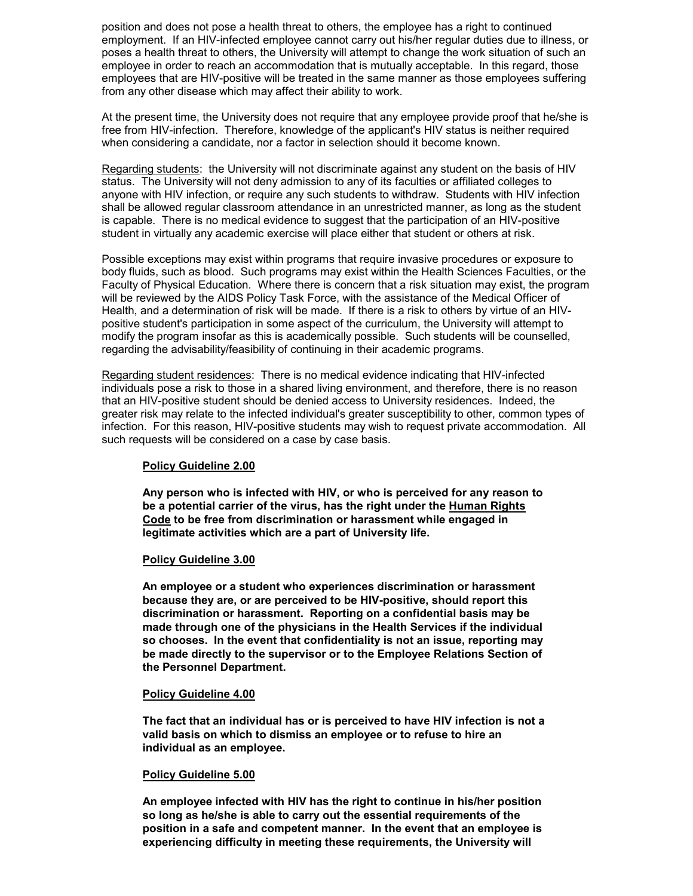position and does not pose a health threat to others, the employee has a right to continued employment. If an HIV-infected employee cannot carry out his/her regular duties due to illness, or poses a health threat to others, the University will attempt to change the work situation of such an employee in order to reach an accommodation that is mutually acceptable. In this regard, those employees that are HIV-positive will be treated in the same manner as those employees suffering from any other disease which may affect their ability to work.

At the present time, the University does not require that any employee provide proof that he/she is free from HIV-infection. Therefore, knowledge of the applicant's HIV status is neither required when considering a candidate, nor a factor in selection should it become known.

Regarding students: the University will not discriminate against any student on the basis of HIV status. The University will not deny admission to any of its faculties or affiliated colleges to anyone with HIV infection, or require any such students to withdraw. Students with HIV infection shall be allowed regular classroom attendance in an unrestricted manner, as long as the student is capable. There is no medical evidence to suggest that the participation of an HIV-positive student in virtually any academic exercise will place either that student or others at risk.

Possible exceptions may exist within programs that require invasive procedures or exposure to body fluids, such as blood. Such programs may exist within the Health Sciences Faculties, or the Faculty of Physical Education. Where there is concern that a risk situation may exist, the program will be reviewed by the AIDS Policy Task Force, with the assistance of the Medical Officer of Health, and a determination of risk will be made. If there is a risk to others by virtue of an HIVpositive student's participation in some aspect of the curriculum, the University will attempt to modify the program insofar as this is academically possible. Such students will be counselled, regarding the advisability/feasibility of continuing in their academic programs.

Regarding student residences: There is no medical evidence indicating that HIV-infected individuals pose a risk to those in a shared living environment, and therefore, there is no reason that an HIV-positive student should be denied access to University residences. Indeed, the greater risk may relate to the infected individual's greater susceptibility to other, common types of infection. For this reason, HIV-positive students may wish to request private accommodation. All such requests will be considered on a case by case basis.

#### **Policy Guideline 2.00**

**Any person who is infected with HIV, or who is perceived for any reason to be a potential carrier of the virus, has the right under the Human Rights Code to be free from discrimination or harassment while engaged in legitimate activities which are a part of University life.**

#### **Policy Guideline 3.00**

**An employee or a student who experiences discrimination or harassment because they are, or are perceived to be HIV-positive, should report this discrimination or harassment. Reporting on a confidential basis may be made through one of the physicians in the Health Services if the individual so chooses. In the event that confidentiality is not an issue, reporting may be made directly to the supervisor or to the Employee Relations Section of the Personnel Department.**

#### **Policy Guideline 4.00**

**The fact that an individual has or is perceived to have HIV infection is not a valid basis on which to dismiss an employee or to refuse to hire an individual as an employee.**

#### **Policy Guideline 5.00**

**An employee infected with HIV has the right to continue in his/her position so long as he/she is able to carry out the essential requirements of the position in a safe and competent manner. In the event that an employee is experiencing difficulty in meeting these requirements, the University will**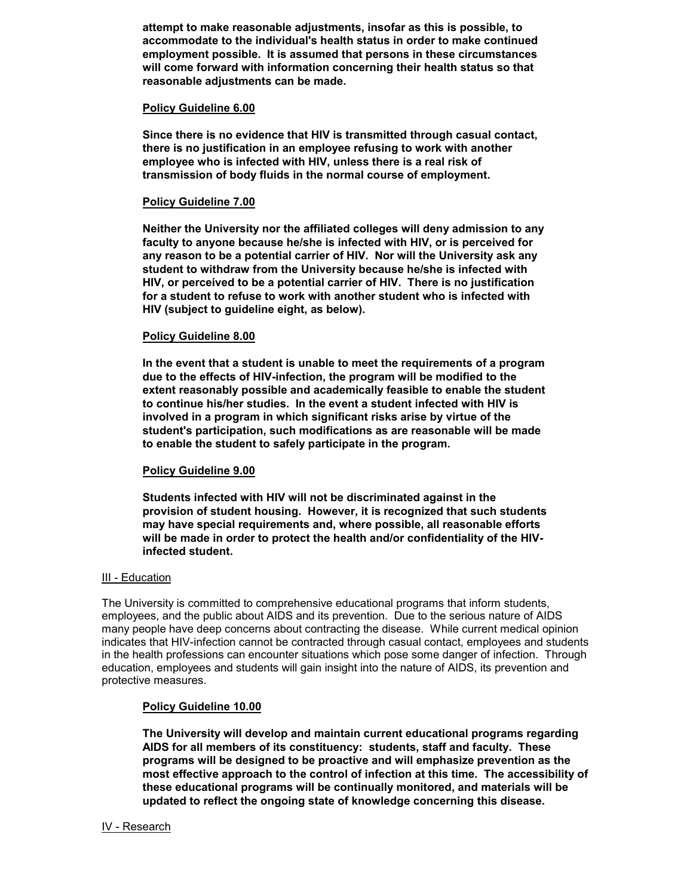**attempt to make reasonable adjustments, insofar as this is possible, to accommodate to the individual's health status in order to make continued employment possible. It is assumed that persons in these circumstances will come forward with information concerning their health status so that reasonable adjustments can be made.**

#### **Policy Guideline 6.00**

**Since there is no evidence that HIV is transmitted through casual contact, there is no justification in an employee refusing to work with another employee who is infected with HIV, unless there is a real risk of transmission of body fluids in the normal course of employment.**

#### **Policy Guideline 7.00**

**Neither the University nor the affiliated colleges will deny admission to any faculty to anyone because he/she is infected with HIV, or is perceived for any reason to be a potential carrier of HIV. Nor will the University ask any student to withdraw from the University because he/she is infected with HIV, or perceived to be a potential carrier of HIV. There is no justification for a student to refuse to work with another student who is infected with HIV (subject to guideline eight, as below).**

#### **Policy Guideline 8.00**

**In the event that a student is unable to meet the requirements of a program due to the effects of HIV-infection, the program will be modified to the extent reasonably possible and academically feasible to enable the student to continue his/her studies. In the event a student infected with HIV is involved in a program in which significant risks arise by virtue of the student's participation, such modifications as are reasonable will be made to enable the student to safely participate in the program.**

#### **Policy Guideline 9.00**

**Students infected with HIV will not be discriminated against in the provision of student housing. However, it is recognized that such students may have special requirements and, where possible, all reasonable efforts will be made in order to protect the health and/or confidentiality of the HIVinfected student.**

#### <span id="page-7-0"></span>III - Education

The University is committed to comprehensive educational programs that inform students, employees, and the public about AIDS and its prevention. Due to the serious nature of AIDS many people have deep concerns about contracting the disease. While current medical opinion indicates that HIV-infection cannot be contracted through casual contact, employees and students in the health professions can encounter situations which pose some danger of infection. Through education, employees and students will gain insight into the nature of AIDS, its prevention and protective measures.

#### **Policy Guideline 10.00**

**The University will develop and maintain current educational programs regarding AIDS for all members of its constituency: students, staff and faculty. These programs will be designed to be proactive and will emphasize prevention as the most effective approach to the control of infection at this time. The accessibility of these educational programs will be continually monitored, and materials will be updated to reflect the ongoing state of knowledge concerning this disease.**

#### <span id="page-7-1"></span>IV - Research